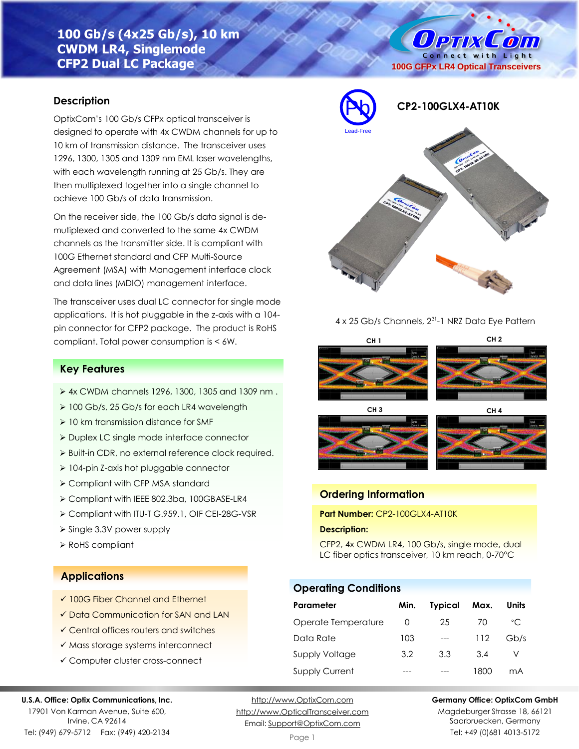# **100 Gb/s (4x25 Gb/s), 10 km CWDM LR4, Singlemode CFP2 Dual LC Package**

# Connect with Light **100G CFPx LR4 Optical Transceivers**

# **Description**

OptixCom's 100 Gb/s CFPx optical transceiver is designed to operate with 4x CWDM channels for up to 10 km of transmission distance. The transceiver uses 1296, 1300, 1305 and 1309 nm EML laser wavelengths, with each wavelength running at 25 Gb/s. They are then multiplexed together into a single channel to achieve 100 Gb/s of data transmission.

On the receiver side, the 100 Gb/s data signal is demutiplexed and converted to the same 4x CWDM channels as the transmitter side. It is compliant with 100G Ethernet standard and CFP Multi-Source Agreement (MSA) with Management interface clock and data lines (MDIO) management interface.

The transceiver uses dual LC connector for single mode applications. It is hot pluggable in the z-axis with a 104 pin connector for CFP2 package. The product is RoHS compliant. Total power consumption is < 6W.

# **Key Features**

- ➢ 4x CWDM channels 1296, 1300, 1305 and 1309 nm .
- ➢ 100 Gb/s, 25 Gb/s for each LR4 wavelength
- ➢ 10 km transmission distance for SMF
- ➢ Duplex LC single mode interface connector
- ➢ Built-in CDR, no external reference clock required.
- ➢ 104-pin Z-axis hot pluggable connector
- ➢ Compliant with CFP MSA standard
- ➢ Compliant with IEEE 802.3ba, 100GBASE-LR4
- ➢ Compliant with ITU-T G.959.1, OIF CEI-28G-VSR
- ➢ Single 3.3V power supply
- ➢ RoHS compliant

### **Applications**

- ✓ 100G Fiber Channel and Ethernet
- ✓ Data Communication for SAN and LAN
- ✓ Central offices routers and switches
- ✓ Mass storage systems interconnect
- ✓ Computer cluster cross-connect

#### **U.S.A. Office: Optix Communications, Inc.**

17901 Von Karman Avenue, Suite 600, Irvine, CA 92614 Tel: (949) 679-5712 Fax: (949) 420-2134

[http://www.OptixCom.com](http://www.optixcom.com/) [http://www.OpticalTransceiver.com](http://www.optoictech.com/) Email: [Support@OptixCom.com](mailto:Support@optoICtech.com)



**Ортіх Сопі** 

#### 4 x 25 Gb/s Channels, 2<sup>31</sup>-1 NRZ Data Eye Pattern







# **Ordering Information**

**Part Number:** CP2-100GLX4-AT10K

#### **Description:**

CFP2, 4x CWDM LR4, 100 Gb/s, single mode, dual LC fiber optics transceiver, 10 km reach, 0-70°C

# **Operating Conditions**

| Parameter             | Min. | <b>Typical</b> | Max. | Units        |
|-----------------------|------|----------------|------|--------------|
| Operate Temperature   | O    | 25             | 70   | $^{\circ}$ C |
| Data Rate             | 103  | $---$          | 112  | Gb/s         |
| Supply Voltage        | 3.2  | 3.3            | 3.4  |              |
| <b>Supply Current</b> |      |                | 1800 | mA           |

**Germany Office: OptixCom GmbH**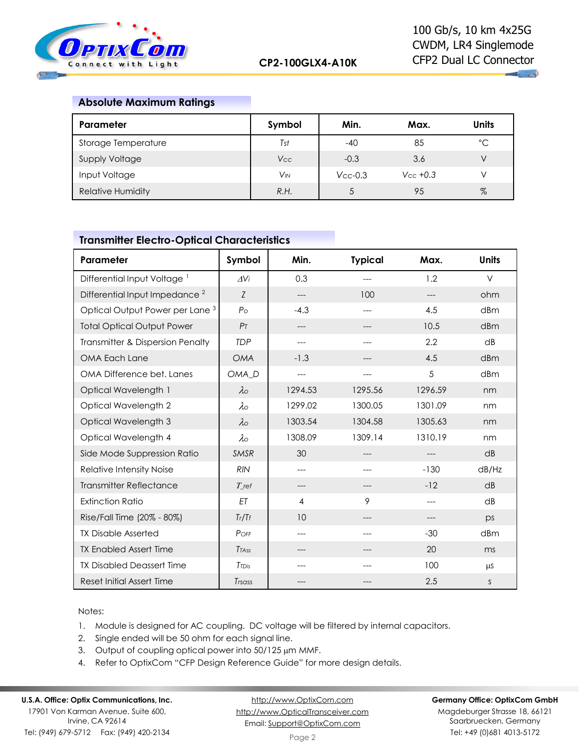

 $\mathbf{u}$  and

## **Absolute Maximum Ratings**

| Parameter                | Symbol   | Min.          | Max.           | <b>Units</b> |
|--------------------------|----------|---------------|----------------|--------------|
| Storage Temperature      | Tst      | $-40$         | 85             | $^{\circ}$ C |
| <b>Supply Voltage</b>    | Vcc      | $-0.3$        | 3.6            |              |
| Input Voltage            | $V_{IN}$ | $V_{CC}$ -0.3 | $V_{CC} + 0.3$ |              |
| <b>Relative Humidity</b> | R.H.     |               | 95             | $\%$         |

## **Transmitter Electro-Optical Characteristics**

| Parameter                                  | Symbol            | Min.    | <b>Typical</b> | Max.    | <b>Units</b> |
|--------------------------------------------|-------------------|---------|----------------|---------|--------------|
| Differential Input Voltage <sup>1</sup>    | AVi               | 0.3     |                | 1.2     | $\vee$       |
| Differential Input Impedance <sup>2</sup>  | Z                 | $---$   | 100            | $---$   | ohm          |
| Optical Output Power per Lane <sup>3</sup> | $P_{\rm O}$       | $-4.3$  | $---$          | 4.5     | dBm          |
| <b>Total Optical Output Power</b>          | P <sub>T</sub>    | ---     |                | 10.5    | dBm          |
| Transmitter & Dispersion Penalty           | <b>TDP</b>        | ---     | ---            | 2.2     | dB           |
| OMA Each Lane                              | <b>OMA</b>        | $-1.3$  | ---            | 4.5     | dBm          |
| OMA Difference bet. Lanes                  | OMA <sub>D</sub>  | $---$   | $---$          | 5       | dBm          |
| Optical Wavelength 1                       | $\lambda$         | 1294.53 | 1295.56        | 1296.59 | nm           |
| Optical Wavelength 2                       | $\lambda \circ$   | 1299.02 | 1300.05        | 1301.09 | nm           |
| Optical Wavelength 3                       | $\lambda$         | 1303.54 | 1304.58        | 1305.63 | nm           |
| Optical Wavelength 4                       | $\lambda \circ$   | 1308.09 | 1309.14        | 1310.19 | nm           |
| Side Mode Suppression Ratio                | <b>SMSR</b>       | 30      | ---            | $---$   | dB           |
| Relative Intensity Noise                   | <b>RIN</b>        | $---$   |                | $-130$  | dB/Hz        |
| <b>Transmitter Reflectance</b>             | $T_{\rm ref}$     | ---     | ---            | $-12$   | dB           |
| <b>Extinction Ratio</b>                    | ET                | 4       | 9              | $---$   | dB           |
| Rise/Fall Time (20% - 80%)                 | Tr/Tf             | 10      | ---            | $---$   | ps           |
| <b>TX Disable Asserted</b>                 | POFF              | ---     |                | $-30$   | dBm          |
| <b>TX Enabled Assert Time</b>              | Trass             | ---     | ---            | 20      | ms           |
| <b>TX Disabled Deassert Time</b>           | T <sub>TDis</sub> | ---     |                | 100     | μS           |
| <b>Reset Initial Assert Time</b>           | Trsass            | ---     |                | 2.5     | S            |

Notes:

- 1. Module is designed for AC coupling. DC voltage will be filtered by internal capacitors.
- 2. Single ended will be 50 ohm for each signal line.
- 3. Output of coupling optical power into 50/125 µm MMF.
- 4. Refer to OptixCom "CFP Design Reference Guide" for more design details.

# **U.S.A. Office: Optix Communications, Inc.**

17901 Von Karman Avenue, Suite 600, Irvine, CA 92614 Tel: (949) 679-5712 Fax: (949) 420-2134

[http://www.OptixCom.com](http://www.optixcom.com/) [http://www.OpticalTransceiver.com](http://www.optoictech.com/) Email: [Support@OptixCom.com](mailto:Support@optoICtech.com)

#### **Germany Office: OptixCom GmbH**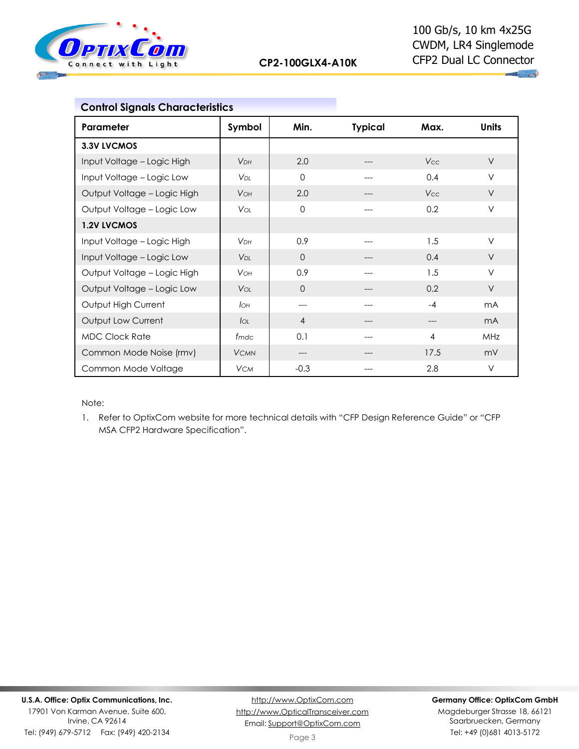

| <b>Control Signals Characteristics</b> |                        |                |                |            |                |
|----------------------------------------|------------------------|----------------|----------------|------------|----------------|
| Parameter                              | Symbol                 | Min.           | <b>Typical</b> | Max.       | <b>Units</b>   |
| 3.3V LVCMOS                            |                        |                |                |            |                |
| Input Voltage - Logic High             | <b>V<sub>DH</sub></b>  | 2.0            |                | <b>Vcc</b> | $\vee$         |
| Input Voltage - Logic Low              | <b>V</b> <sub>DI</sub> | $\Omega$       | ---            | 0.4        | $\vee$         |
| Output Voltage - Logic High            | <b>VOH</b>             | 2.0            |                | <b>Vcc</b> | $\vee$         |
| Output Voltage - Logic Low             | <b>V</b> or            | $\Omega$       | ---            | 0.2        | $\vee$         |
| <b>1.2V LVCMOS</b>                     |                        |                |                |            |                |
| Input Voltage - Logic High             | V <sub>DH</sub>        | 0.9            |                | 1.5        | V              |
| Input Voltage - Logic Low              | V <sub>DI</sub>        | $\Omega$       | ---            | 0.4        | $\vee$         |
| Output Voltage - Logic High            | <b>VOH</b>             | 0.9            | ---            | 1.5        | $\vee$         |
| Output Voltage - Logic Low             | <b>V</b> ol            | $\Omega$       |                | 0.2        | $\vee$         |
| Output High Current                    | Iон                    | ---            |                | $-4$       | m <sub>A</sub> |
| Output Low Current                     | $I_{OL}$               | $\overline{4}$ | ---            | ---        | m <sub>A</sub> |
| <b>MDC Clock Rate</b>                  | fmdc                   | 0.1            |                | 4          | MHz            |
| Common Mode Noise (rmv)                | <b>VCMN</b>            | ---            |                | 17.5       | mV             |
| Common Mode Voltage                    | <b>VCM</b>             | $-0.3$         | ---            | 2.8        | $\vee$         |

Note:

1. Refer to OptixCom website for more technical details with "CFP Design Reference Guide" or "CFP MSA CFP2 Hardware Specification".

Tel: (949) 679-5712 Fax: (949) 420-2134

[http://www.OptixCom.com](http://www.optixcom.com/) [http://www.OpticalTransceiver.com](http://www.optoictech.com/) Email: [Support@OptixCom.com](mailto:Support@optoICtech.com)

#### **Germany Office: OptixCom GmbH**